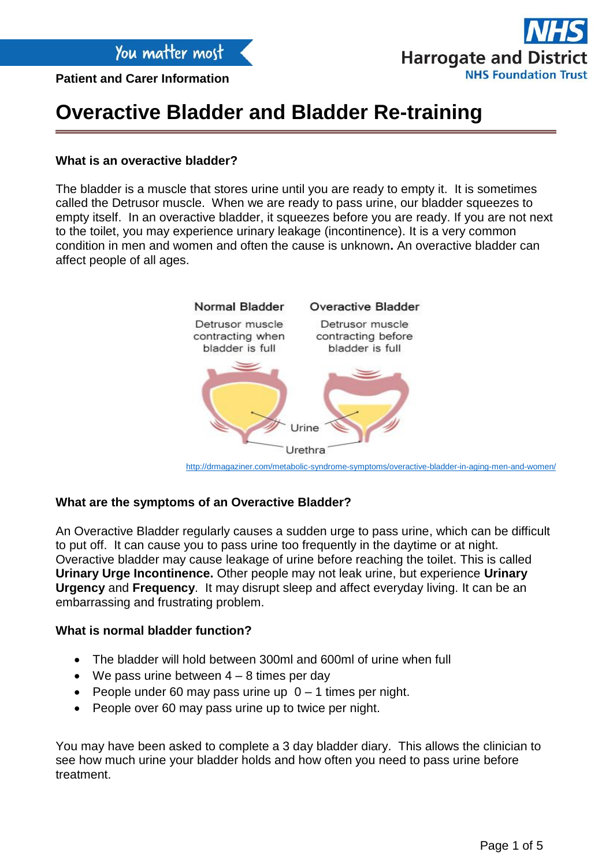**Patient and Carer Information**



## **Overactive Bladder and Bladder Re-training**

### **What is an overactive bladder?**

The bladder is a muscle that stores urine until you are ready to empty it. It is sometimes called the Detrusor muscle. When we are ready to pass urine, our bladder squeezes to empty itself. In an overactive bladder, it squeezes before you are ready. If you are not next to the toilet, you may experience urinary leakage (incontinence). It is a very common condition in men and women and often the cause is unknown**.** An overactive bladder can affect people of all ages.



### **What are the symptoms of an Overactive Bladder?**

An Overactive Bladder regularly causes a sudden urge to pass urine, which can be difficult to put off. It can cause you to pass urine too frequently in the daytime or at night. Overactive bladder may cause leakage of urine before reaching the toilet. This is called **Urinary Urge Incontinence.** Other people may not leak urine, but experience **Urinary Urgency** and **Frequency**. It may disrupt sleep and affect everyday living. It can be an embarrassing and frustrating problem.

#### **What is normal bladder function?**

- The bladder will hold between 300ml and 600ml of urine when full
- $\bullet$  We pass urine between  $4 8$  times per day
- People under 60 may pass urine up  $0 1$  times per night.
- People over 60 may pass urine up to twice per night.

You may have been asked to complete a 3 day bladder diary. This allows the clinician to see how much urine your bladder holds and how often you need to pass urine before treatment.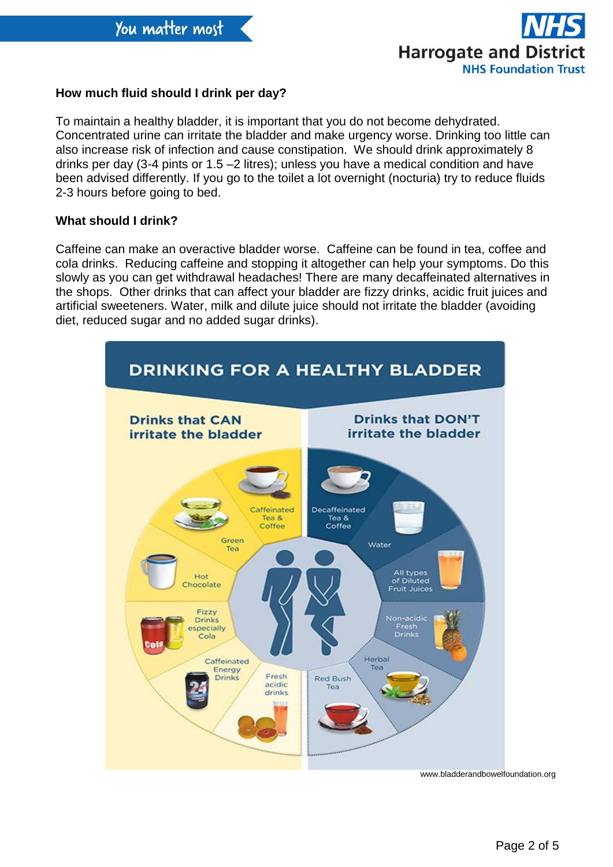

## **How much fluid should I drink per day?**

To maintain a healthy bladder, it is important that you do not become dehydrated. Concentrated urine can irritate the bladder and make urgency worse. Drinking too little can also increase risk of infection and cause constipation. We should drink approximately 8 drinks per day (3-4 pints or 1.5 –2 litres); unless you have a medical condition and have been advised differently. If you go to the toilet a lot overnight (nocturia) try to reduce fluids 2-3 hours before going to bed.

### **What should I drink?**

Caffeine can make an overactive bladder worse. Caffeine can be found in tea, coffee and cola drinks. Reducing caffeine and stopping it altogether can help your symptoms. Do this slowly as you can get withdrawal headaches! There are many decaffeinated alternatives in the shops. Other drinks that can affect your bladder are fizzy drinks, acidic fruit juices and artificial sweeteners. Water, milk and dilute juice should not irritate the bladder (avoiding diet, reduced sugar and no added sugar drinks).



www.bladderandbowelfoundation.org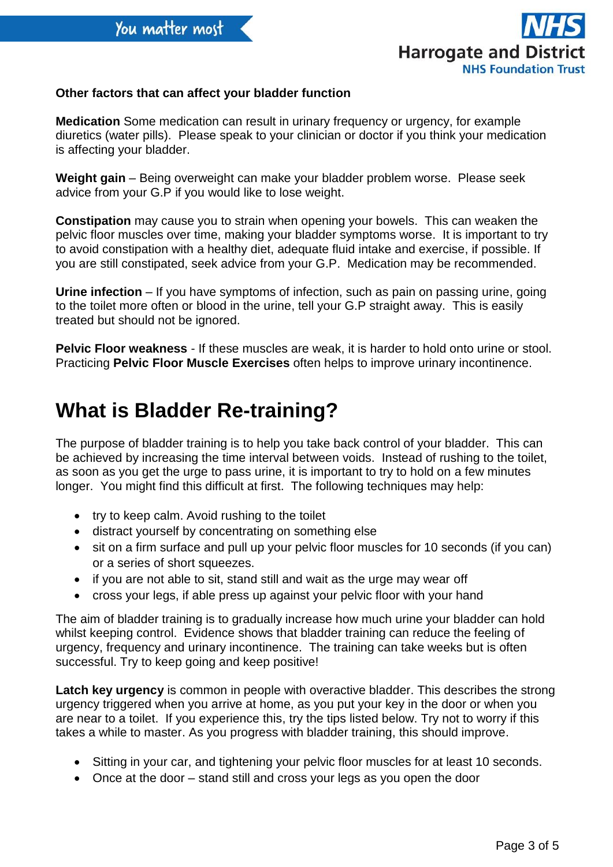

## **Other factors that can affect your bladder function**

**Medication** Some medication can result in urinary frequency or urgency, for example diuretics (water pills). Please speak to your clinician or doctor if you think your medication is affecting your bladder.

**Weight gain** – Being overweight can make your bladder problem worse. Please seek advice from your G.P if you would like to lose weight.

**Constipation** may cause you to strain when opening your bowels. This can weaken the pelvic floor muscles over time, making your bladder symptoms worse. It is important to try to avoid constipation with a healthy diet, adequate fluid intake and exercise, if possible. If you are still constipated, seek advice from your G.P. Medication may be recommended.

**Urine infection** – If you have symptoms of infection, such as pain on passing urine, going to the toilet more often or blood in the urine, tell your G.P straight away. This is easily treated but should not be ignored.

**Pelvic Floor weakness** - If these muscles are weak, it is harder to hold onto urine or stool. Practicing **Pelvic Floor Muscle Exercises** often helps to improve urinary incontinence.

# **What is Bladder Re-training?**

The purpose of bladder training is to help you take back control of your bladder. This can be achieved by increasing the time interval between voids. Instead of rushing to the toilet, as soon as you get the urge to pass urine, it is important to try to hold on a few minutes longer. You might find this difficult at first. The following techniques may help:

- try to keep calm. Avoid rushing to the toilet
- distract yourself by concentrating on something else
- sit on a firm surface and pull up your pelvic floor muscles for 10 seconds (if you can) or a series of short squeezes.
- if you are not able to sit, stand still and wait as the urge may wear off
- cross your legs, if able press up against your pelvic floor with your hand

The aim of bladder training is to gradually increase how much urine your bladder can hold whilst keeping control. Evidence shows that bladder training can reduce the feeling of urgency, frequency and urinary incontinence. The training can take weeks but is often successful. Try to keep going and keep positive!

Latch key urgency is common in people with overactive bladder. This describes the strong urgency triggered when you arrive at home, as you put your key in the door or when you are near to a toilet. If you experience this, try the tips listed below. Try not to worry if this takes a while to master. As you progress with bladder training, this should improve.

- Sitting in your car, and tightening your pelvic floor muscles for at least 10 seconds.
- Once at the door stand still and cross your legs as you open the door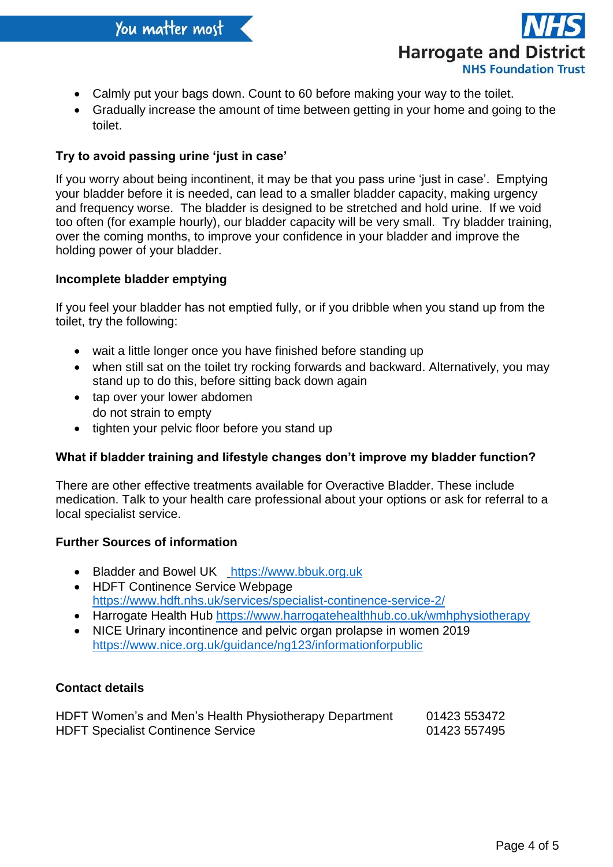

- Calmly put your bags down. Count to 60 before making your way to the toilet.
- Gradually increase the amount of time between getting in your home and going to the toilet.

## **Try to avoid passing urine 'just in case'**

If you worry about being incontinent, it may be that you pass urine 'just in case'. Emptying your bladder before it is needed, can lead to a smaller bladder capacity, making urgency and frequency worse. The bladder is designed to be stretched and hold urine. If we void too often (for example hourly), our bladder capacity will be very small. Try bladder training, over the coming months, to improve your confidence in your bladder and improve the holding power of your bladder.

### **Incomplete bladder emptying**

If you feel your bladder has not emptied fully, or if you dribble when you stand up from the toilet, try the following:

- wait a little longer once you have finished before standing up
- when still sat on the toilet try rocking forwards and backward. Alternatively, you may stand up to do this, before sitting back down again
- tap over your lower abdomen do not strain to empty
- tighten your pelvic floor before you stand up

### **What if bladder training and lifestyle changes don't improve my bladder function?**

There are other effective treatments available for Overactive Bladder. These include medication. Talk to your health care professional about your options or ask for referral to a local specialist service.

### **Further Sources of information**

- Bladder and Bowel UK [https://www.bbuk.org.uk](https://www.bbuk.org.uk/)
- HDFT Continence Service Webpage <https://www.hdft.nhs.uk/services/specialist-continence-service-2/>
- Harrogate Health Hub<https://www.harrogatehealthhub.co.uk/wmhphysiotherapy>
- NICE Urinary incontinence and pelvic organ prolapse in women 2019 <https://www.nice.org.uk/guidance/ng123/informationforpublic>

### **Contact details**

| HDFT Women's and Men's Health Physiotherapy Department | 01423 553472 |
|--------------------------------------------------------|--------------|
| <b>HDFT Specialist Continence Service</b>              | 01423 557495 |